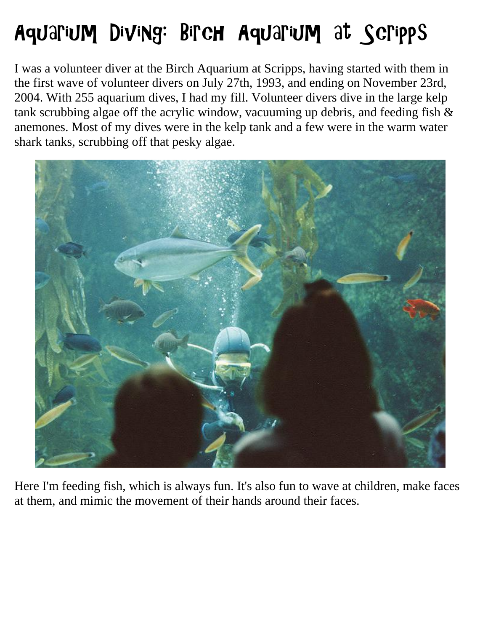## Aquarium Diving: Birch Aquarium at Scripps

I was a volunteer diver at the Birch Aquarium at Scripps, having started with them in the first wave of volunteer divers on July 27th, 1993, and ending on November 23rd, 2004. With 255 aquarium dives, I had my fill. Volunteer divers dive in the large kelp tank scrubbing algae off the acrylic window, vacuuming up debris, and feeding fish & anemones. Most of my dives were in the kelp tank and a few were in the warm water shark tanks, scrubbing off that pesky algae.



Here I'm feeding fish, which is always fun. It's also fun to wave at children, make faces at them, and mimic the movement of their hands around their faces.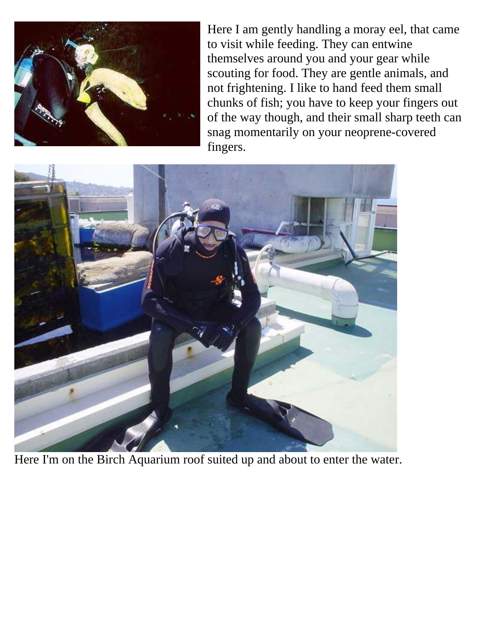

Here I am gently handling a moray eel, that came to visit while feeding. They can entwine themselves around you and your gear while scouting for food. They are gentle animals, and not frightening. I like to hand feed them small chunks of fish; you have to keep your fingers out of the way though, and their small sharp teeth can snag momentarily on your neoprene-covered fingers.



Here I'm on the Birch Aquarium roof suited up and about to enter the water.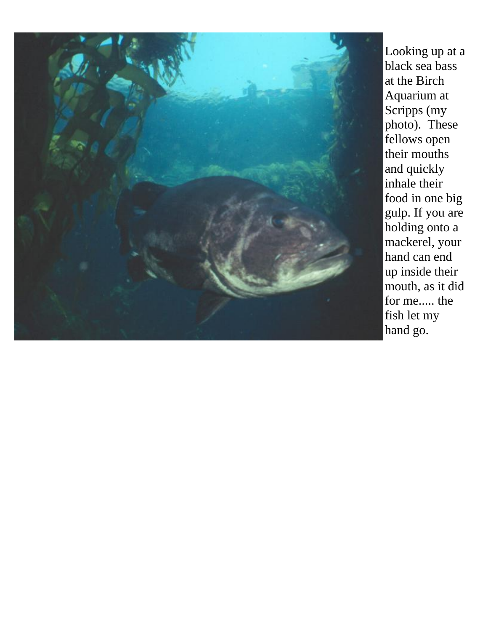

Looking up at a black sea bass at the Birch Aquarium at Scripps (my photo). These fellows open their mouths and quickly inhale their food in one big gulp. If you are holding onto a mackerel, your hand can end up inside their mouth, as it did for me..... the fish let my hand go.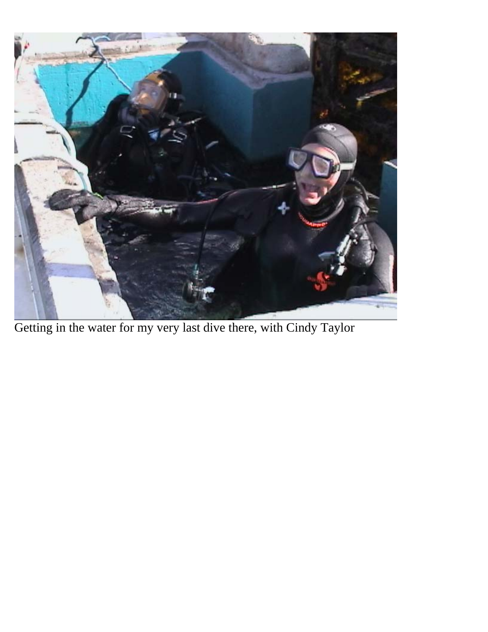

Getting in the water for my very last dive there, with Cindy Taylor